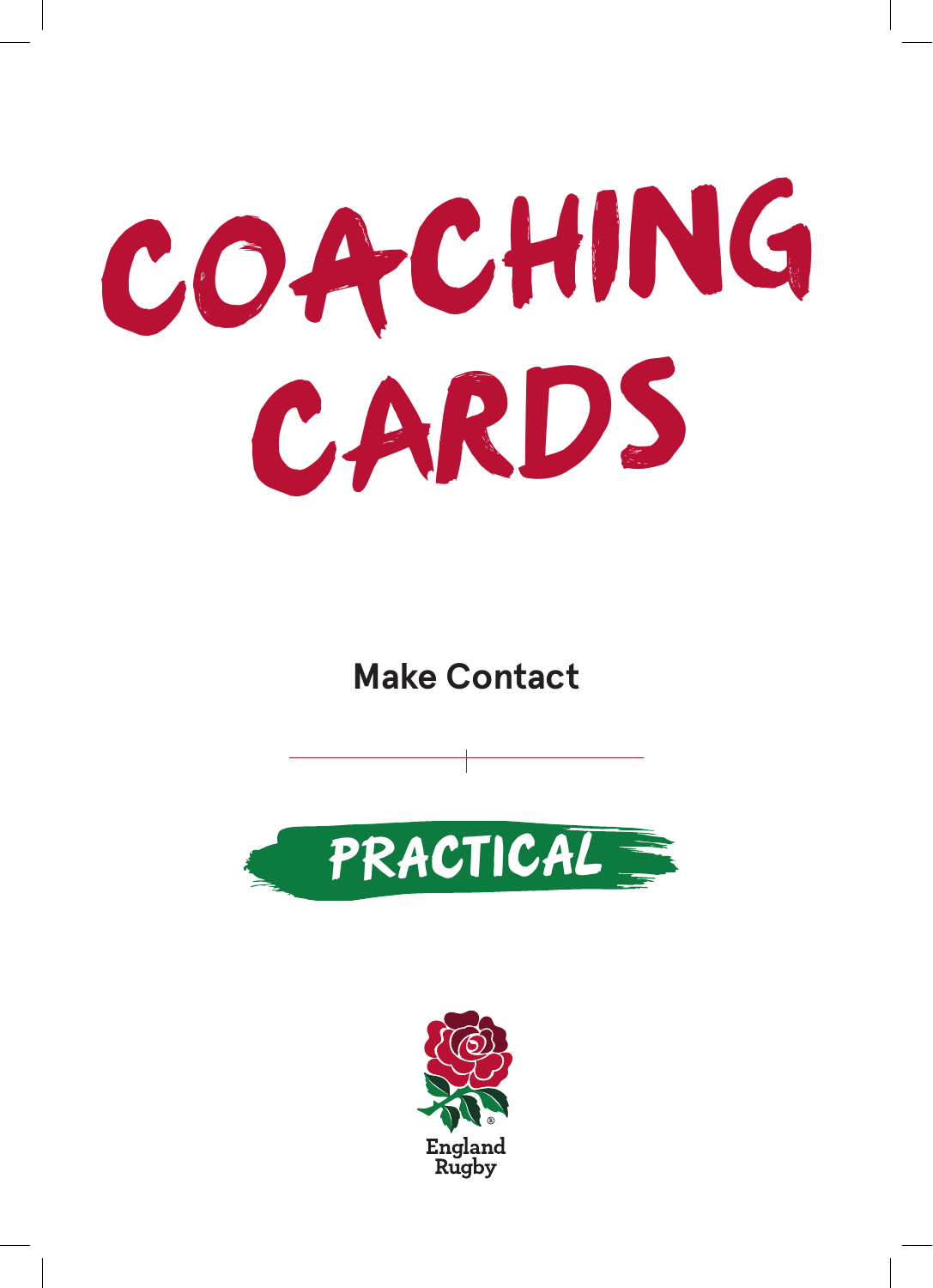# **COACHING CARDS**

**Make Contact**



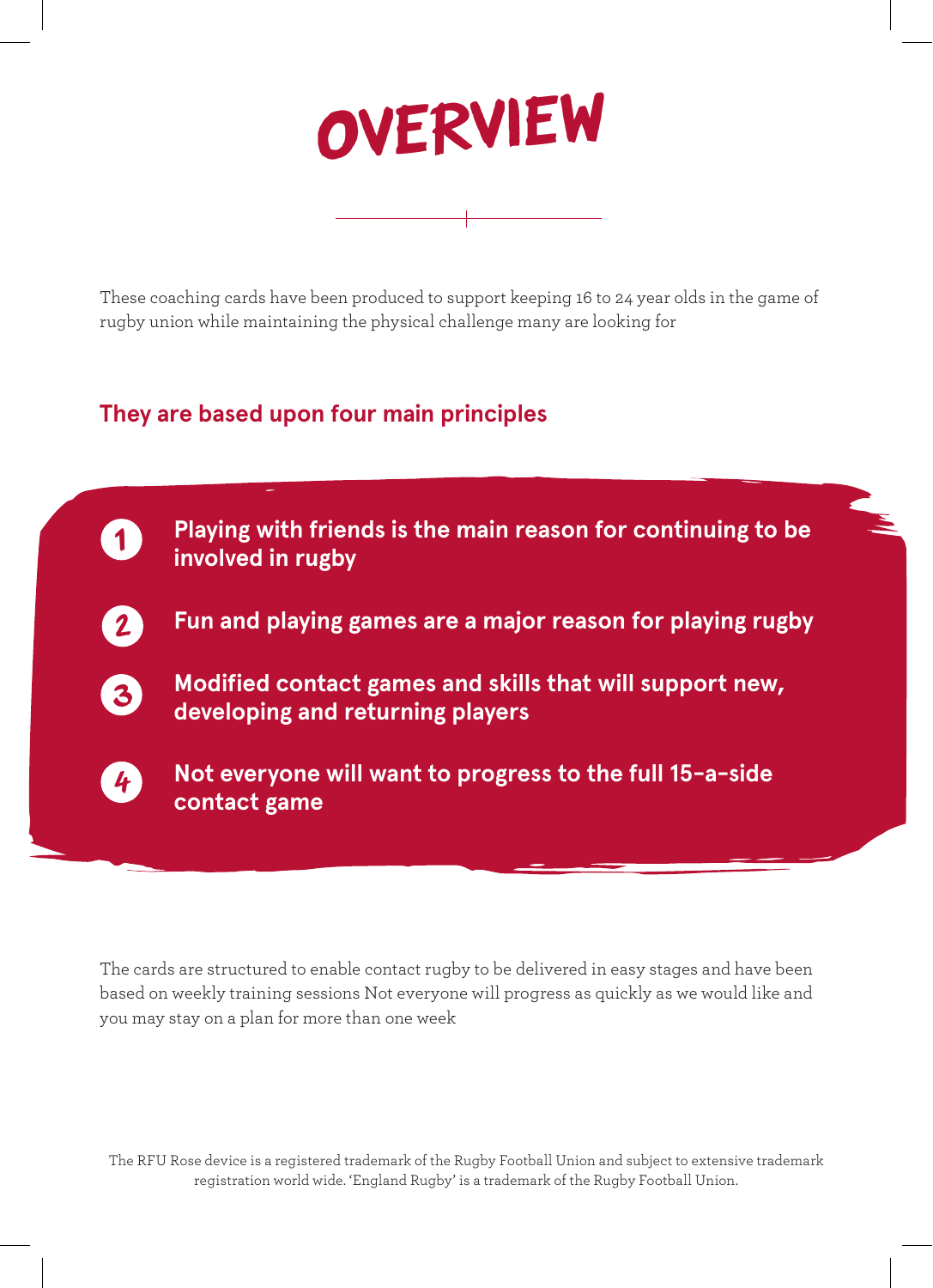

These coaching cards have been produced to support keeping 16 to 24 year olds in the game of rugby union while maintaining the physical challenge many are looking for

#### **They are based upon four main principles**



The cards are structured to enable contact rugby to be delivered in easy stages and have been based on weekly training sessions Not everyone will progress as quickly as we would like and you may stay on a plan for more than one week

The RFU Rose device is a registered trademark of the Rugby Football Union and subject to extensive trademark registration world wide. 'England Rugby' is a trademark of the Rugby Football Union.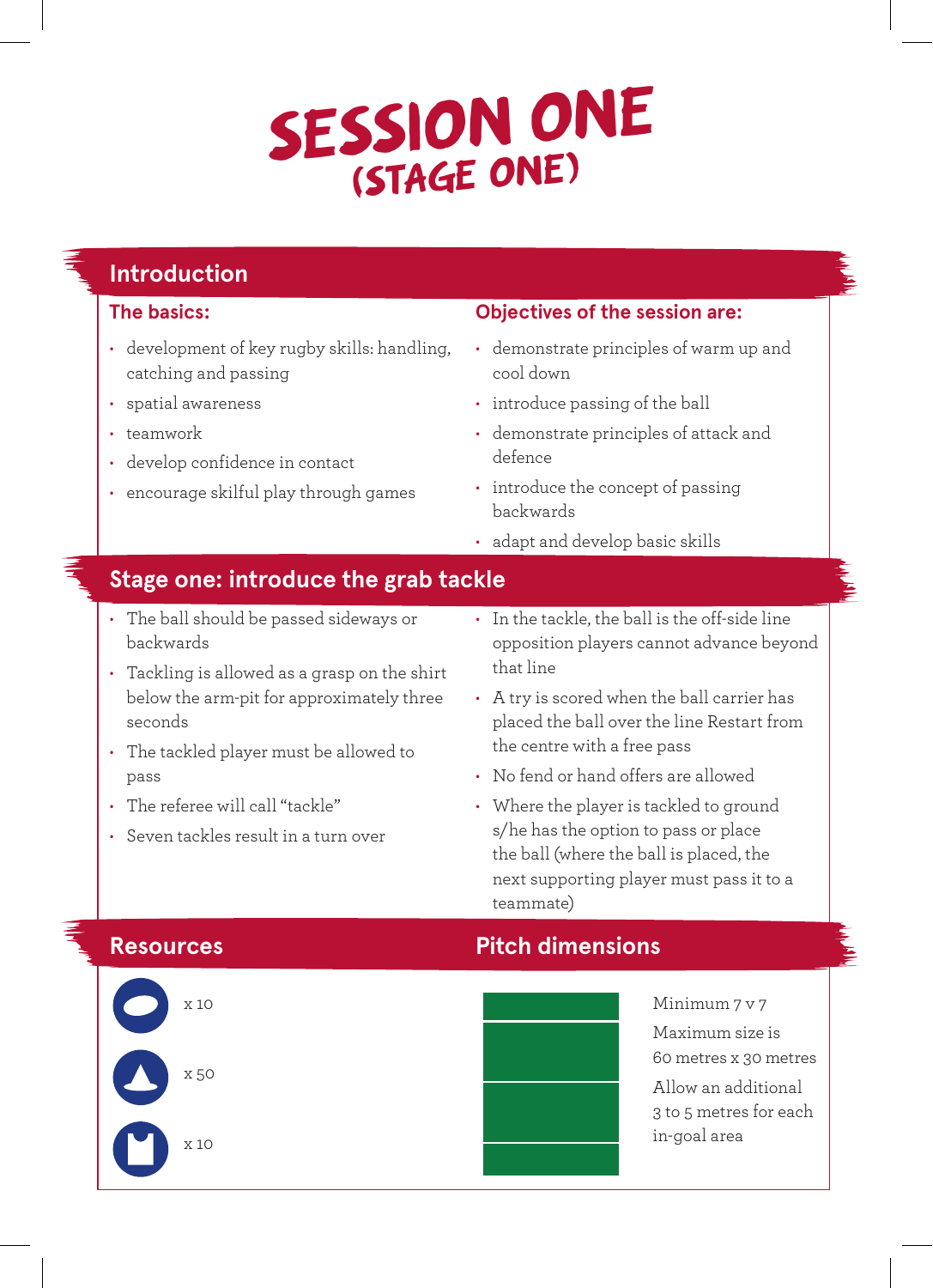## **SESSION ONE (STAGE ONE)**

### **Introduction**

#### **The basics:**

- development of key rugby skills: handling, catching and passing
- spatial awareness
- teamwork
- develop confidence in contact
- encourage skilful play through games

#### **Objectives of the session are:**

- demonstrate principles of warm up and cool down
- introduce passing of the ball
- demonstrate principles of attack and defence
- introduce the concept of passing backwards
- adapt and develop basic skills

#### **Stage one: introduce the grab tackle**

- The ball should be passed sideways or backwards
- Tackling is allowed as a grasp on the shirt below the arm-pit for approximately three seconds
- The tackled player must be allowed to pass
- The referee will call "tackle"
- Seven tackles result in a turn over
- In the tackle, the ball is the off-side line opposition players cannot advance beyond that line
- A try is scored when the ball carrier has placed the ball over the line Restart from the centre with a free pass
- No fend or hand offers are allowed
- Where the player is tackled to ground s/he has the option to pass or place the ball (where the ball is placed, the next supporting player must pass it to a teammate)



### **Resources Pitch dimensions**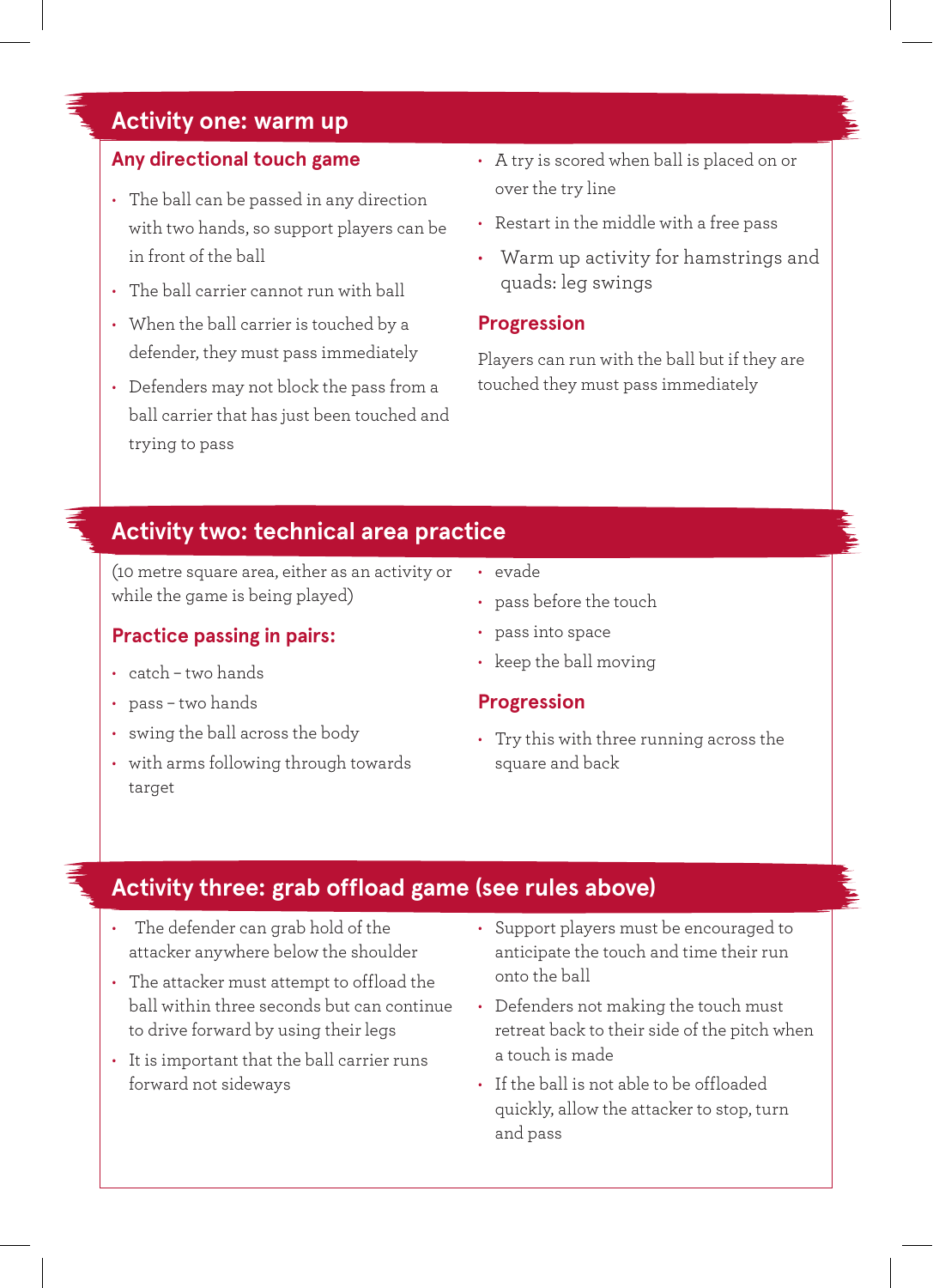#### **Activity one: warm up**

#### **Any directional touch game**

- The ball can be passed in any direction with two hands, so support players can be in front of the ball
- The ball carrier cannot run with ball
- When the ball carrier is touched by a defender, they must pass immediately
- Defenders may not block the pass from a ball carrier that has just been touched and trying to pass
- A try is scored when ball is placed on or over the try line
- Restart in the middle with a free pass
- Warm up activity for hamstrings and quads: leg swings

#### **Progression**

Players can run with the ball but if they are touched they must pass immediately

#### **Activity two: technical area practice**

(10 metre square area, either as an activity or while the game is being played)

#### **Practice passing in pairs:**

- catch two hands
- pass two hands
- swing the ball across the body
- with arms following through towards target
- evade
- pass before the touch
- pass into space
- keep the ball moving

#### **Progression**

• Try this with three running across the square and back

#### **Activity three: grab offload game (see rules above)**

- The defender can grab hold of the attacker anywhere below the shoulder
- The attacker must attempt to offload the ball within three seconds but can continue to drive forward by using their legs
- It is important that the ball carrier runs forward not sideways
- Support players must be encouraged to anticipate the touch and time their run onto the ball
- Defenders not making the touch must retreat back to their side of the pitch when a touch is made
- If the ball is not able to be offloaded quickly, allow the attacker to stop, turn and pass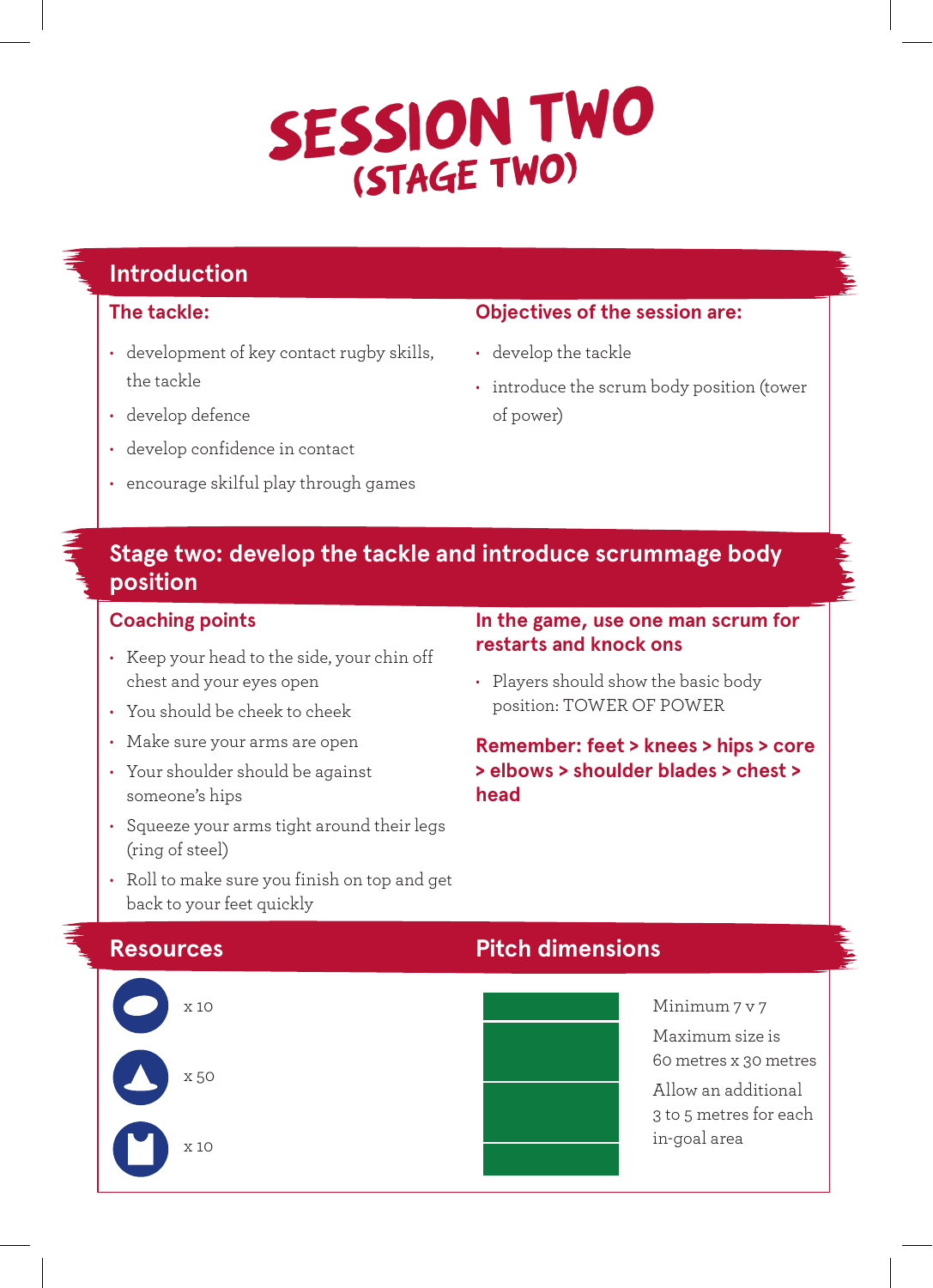### **SESSION TWO (STAGE TWO)**

### **Introduction**

#### **The tackle:**

- development of key contact rugby skills, the tackle
- develop defence
- develop confidence in contact
- encourage skilful play through games

#### **Objectives of the session are:**

- develop the tackle
- introduce the scrum body position (tower of power)

#### **Stage two: develop the tackle and introduce scrummage body position**

#### **Coaching points**

- Keep your head to the side, your chin off chest and your eyes open
- You should be cheek to cheek
- Make sure your arms are open
- Your shoulder should be against someone's hips

back to your feet quickly

• Squeeze your arms tight around their legs (ring of steel)

• Roll to make sure you finish on top and get

#### **In the game, use one man scrum for restarts and knock ons**

• Players should show the basic body position: TOWER OF POWER

**Remember: feet > knees > hips > core > elbows > shoulder blades > chest > head**

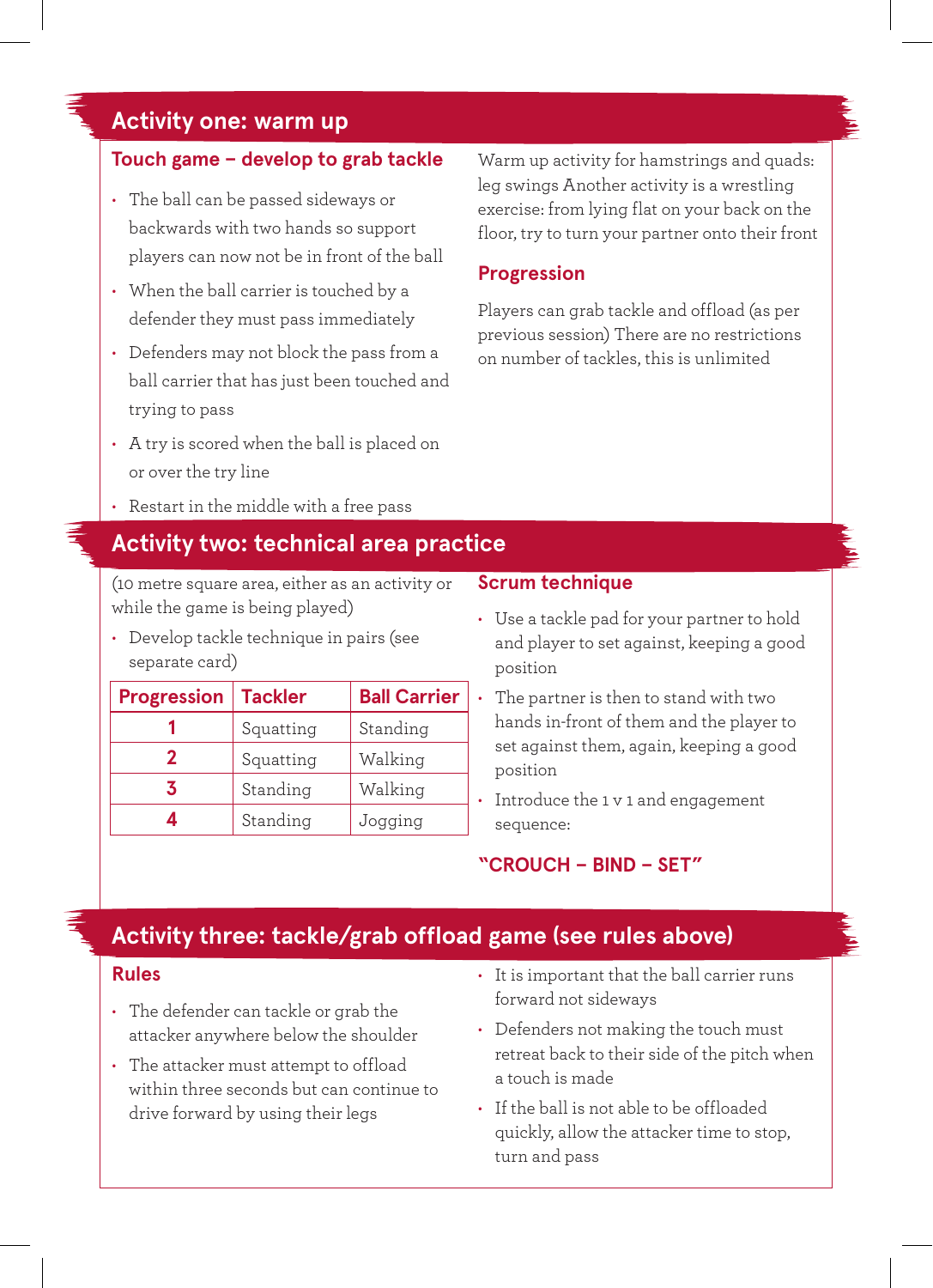#### **Activity one: warm up**

#### **Touch game – develop to grab tackle**

- The ball can be passed sideways or backwards with two hands so support players can now not be in front of the ball
- When the ball carrier is touched by a defender they must pass immediately
- Defenders may not block the pass from a ball carrier that has just been touched and trying to pass
- A try is scored when the ball is placed on or over the try line
- Restart in the middle with a free pass

#### **Activity two: technical area practice**

(10 metre square area, either as an activity or while the game is being played)

• Develop tackle technique in pairs (see separate card)

| <b>Progression</b> | <b>Tackler</b> | <b>Ball Carrier</b> |
|--------------------|----------------|---------------------|
|                    | Squatting      | Standing            |
| 2                  | Squatting      | Walking             |
| 3                  | Standing       | Walking             |
|                    | Standing       | Jogging             |

Warm up activity for hamstrings and quads: leg swings Another activity is a wrestling exercise: from lying flat on your back on the floor, try to turn your partner onto their front

#### **Progression**

Players can grab tackle and offload (as per previous session) There are no restrictions on number of tackles, this is unlimited

#### **Scrum technique**

- Use a tackle pad for your partner to hold and player to set against, keeping a good position
- The partner is then to stand with two hands in-front of them and the player to set against them, again, keeping a good position
- Introduce the 1 v 1 and engagement sequence:

#### **"CROUCH – BIND – SET"**

#### **Activity three: tackle/grab offload game (see rules above)**

#### **Rules**

- The defender can tackle or grab the attacker anywhere below the shoulder
- The attacker must attempt to offload within three seconds but can continue to drive forward by using their legs
- It is important that the ball carrier runs forward not sideways
- Defenders not making the touch must retreat back to their side of the pitch when a touch is made
- If the ball is not able to be offloaded quickly, allow the attacker time to stop, turn and pass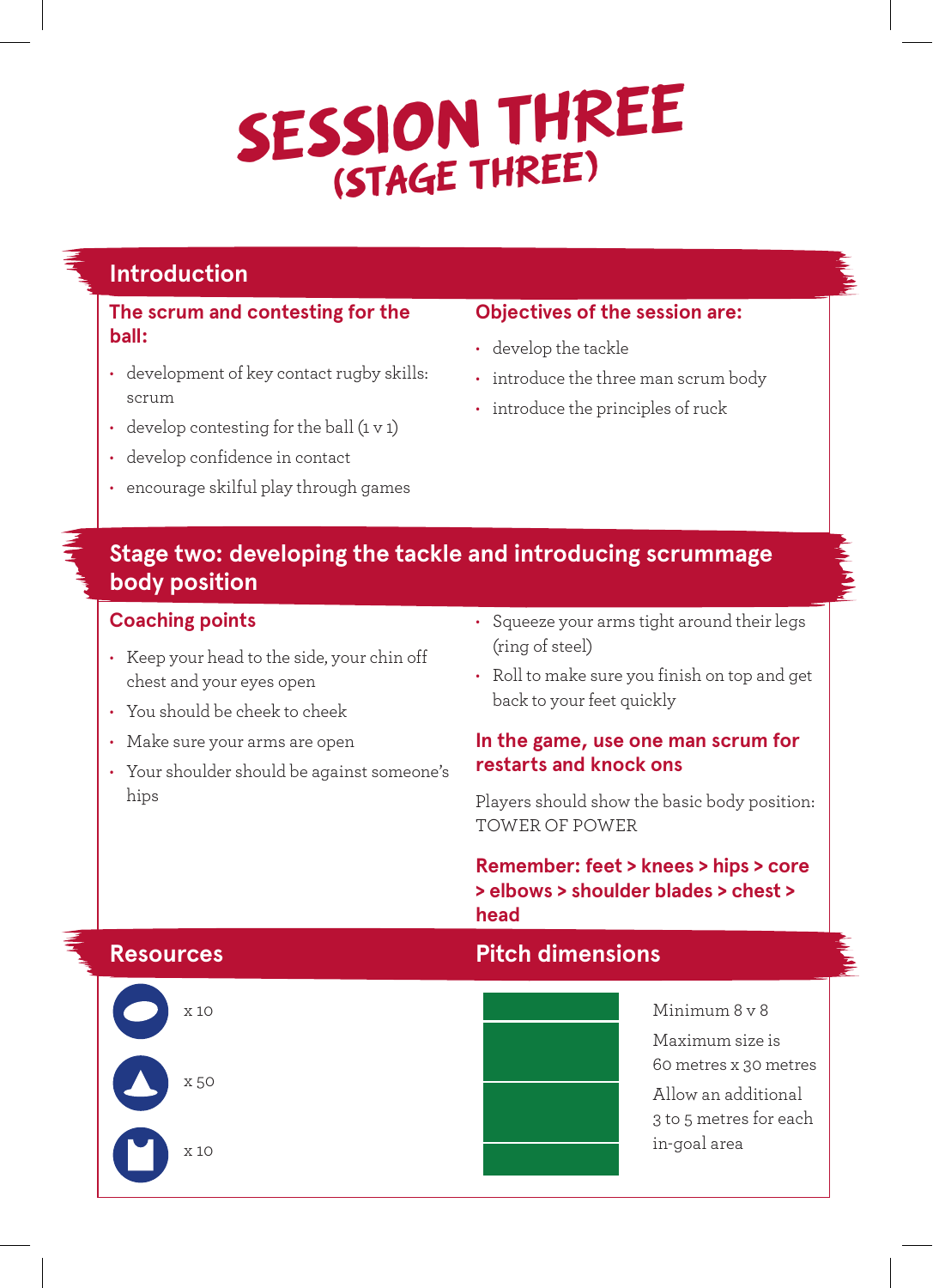## **SESSION THREE (STAGE THREE)**

#### **Introduction**

#### **The scrum and contesting for the ball:**

- development of key contact rugby skills: scrum
- $\cdot$  develop contesting for the ball  $(1 \vee 1)$
- develop confidence in contact
- encourage skilful play through games

#### **Objectives of the session are:**

- develop the tackle
- introduce the three man scrum body
- introduce the principles of ruck

#### **Stage two: developing the tackle and introducing scrummage body position**

#### **Coaching points**

- Keep your head to the side, your chin off chest and your eyes open
- You should be cheek to cheek
- Make sure your arms are open
- Your shoulder should be against someone's hips
- Squeeze your arms tight around their legs (ring of steel)
- Roll to make sure you finish on top and get back to your feet quickly

#### **In the game, use one man scrum for restarts and knock ons**

Players should show the basic body position: TOWER OF POWER

**Remember: feet > knees > hips > core > elbows > shoulder blades > chest > head**

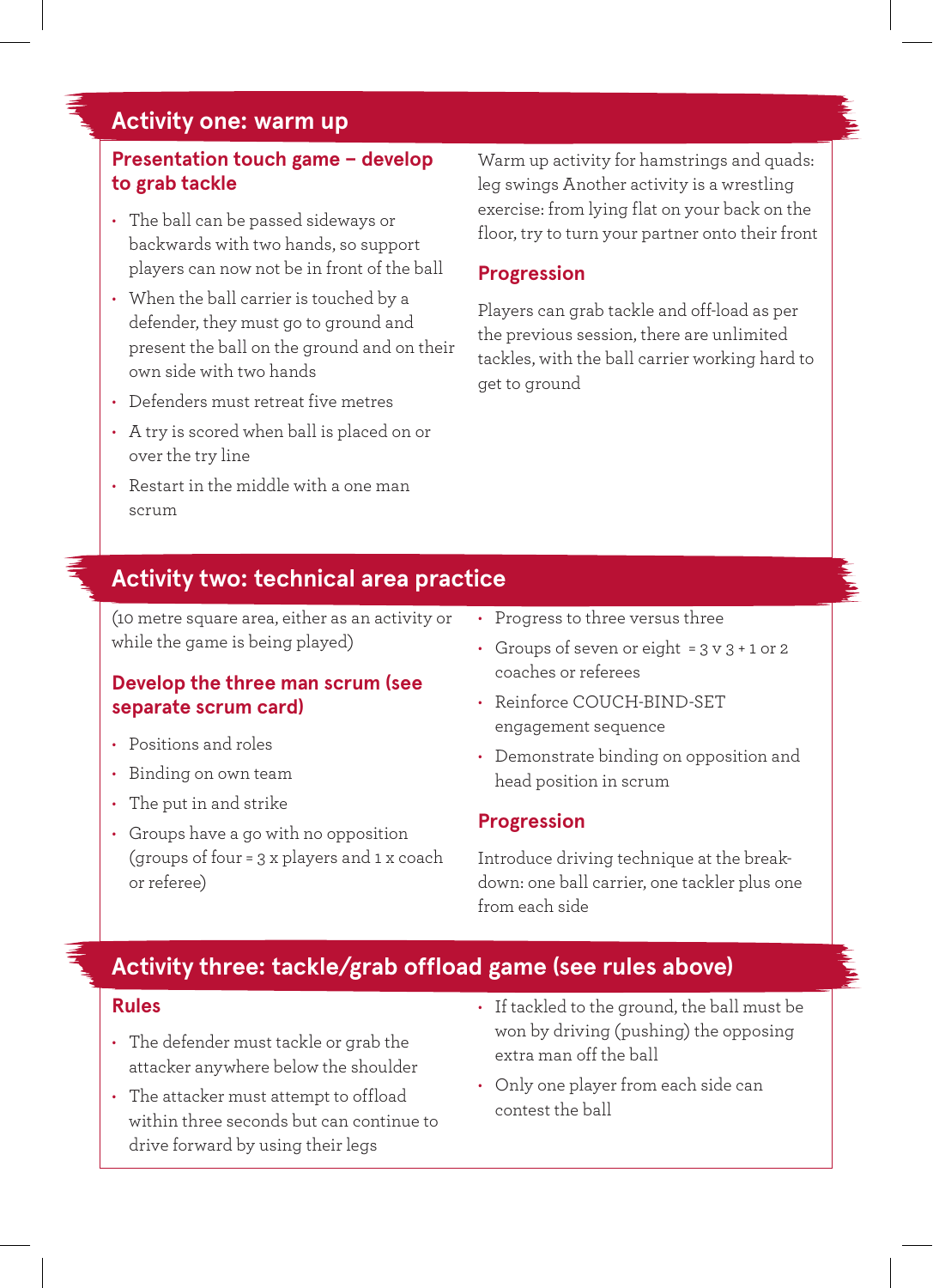#### **Activity one: warm up**

#### **Presentation touch game – develop to grab tackle**

- The ball can be passed sideways or backwards with two hands, so support players can now not be in front of the ball
- When the ball carrier is touched by a defender, they must go to ground and present the ball on the ground and on their own side with two hands
- Defenders must retreat five metres
- A try is scored when ball is placed on or over the try line
- Restart in the middle with a one man scrum

Warm up activity for hamstrings and quads: leg swings Another activity is a wrestling exercise: from lying flat on your back on the floor, try to turn your partner onto their front

#### **Progression**

Players can grab tackle and off-load as per the previous session, there are unlimited tackles, with the ball carrier working hard to get to ground

#### **Activity two: technical area practice**

(10 metre square area, either as an activity or while the game is being played)

#### **Develop the three man scrum (see separate scrum card)**

- Positions and roles
- Binding on own team
- The put in and strike
- Groups have a go with no opposition (groups of four = 3 x players and 1 x coach or referee)
- Progress to three versus three
- Groups of seven or eight = 3 v 3 + 1 or 2 coaches or referees
- Reinforce COUCH-BIND-SET engagement sequence
- Demonstrate binding on opposition and head position in scrum

#### **Progression**

Introduce driving technique at the breakdown: one ball carrier, one tackler plus one from each side

#### **Activity three: tackle/grab offload game (see rules above)**

#### **Rules**

- The defender must tackle or grab the attacker anywhere below the shoulder
- The attacker must attempt to offload within three seconds but can continue to drive forward by using their legs
- If tackled to the ground, the ball must be won by driving (pushing) the opposing extra man off the ball
- Only one player from each side can contest the ball

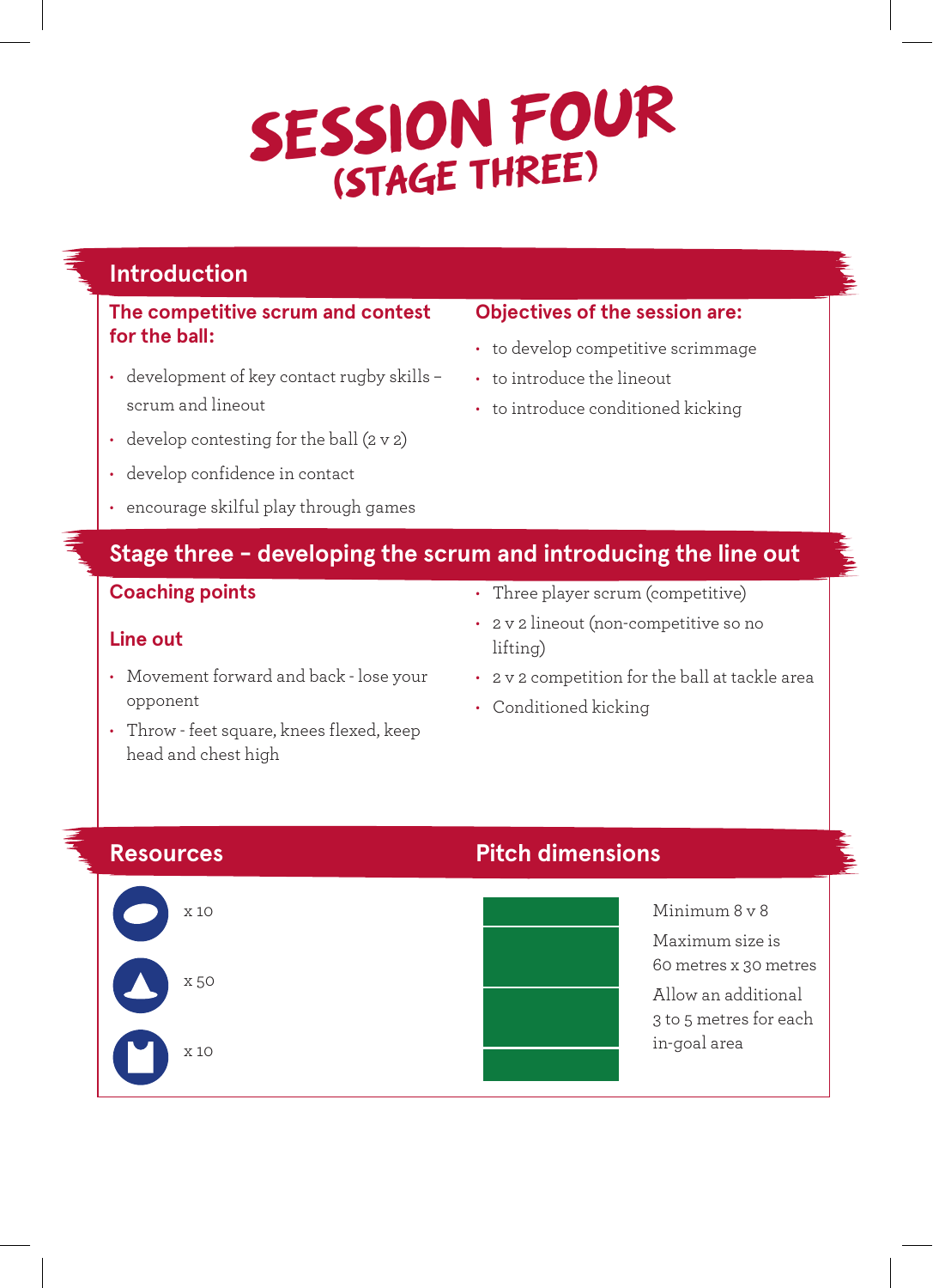## **SESSION FOUR (STAGE THREE)**

#### **Introduction**

#### **The competitive scrum and contest for the ball:**

- development of key contact rugby skills scrum and lineout
- develop contesting for the ball  $(2 \vee 2)$
- develop confidence in contact
- encourage skilful play through games

• Movement forward and back - lose your

• Throw - feet square, knees flexed, keep

#### **Objectives of the session are:**

- to develop competitive scrimmage
- to introduce the lineout
- to introduce conditioned kicking

#### **Stage three - developing the scrum and introducing the line out**

#### **Coaching points**

**Line out**

opponent

head and chest high

- Three player scrum (competitive)
- 2 v 2 lineout (non-competitive so no lifting)
- 2 v 2 competition for the ball at tackle area
- Conditioned kicking



#### **Resources Pitch dimensions**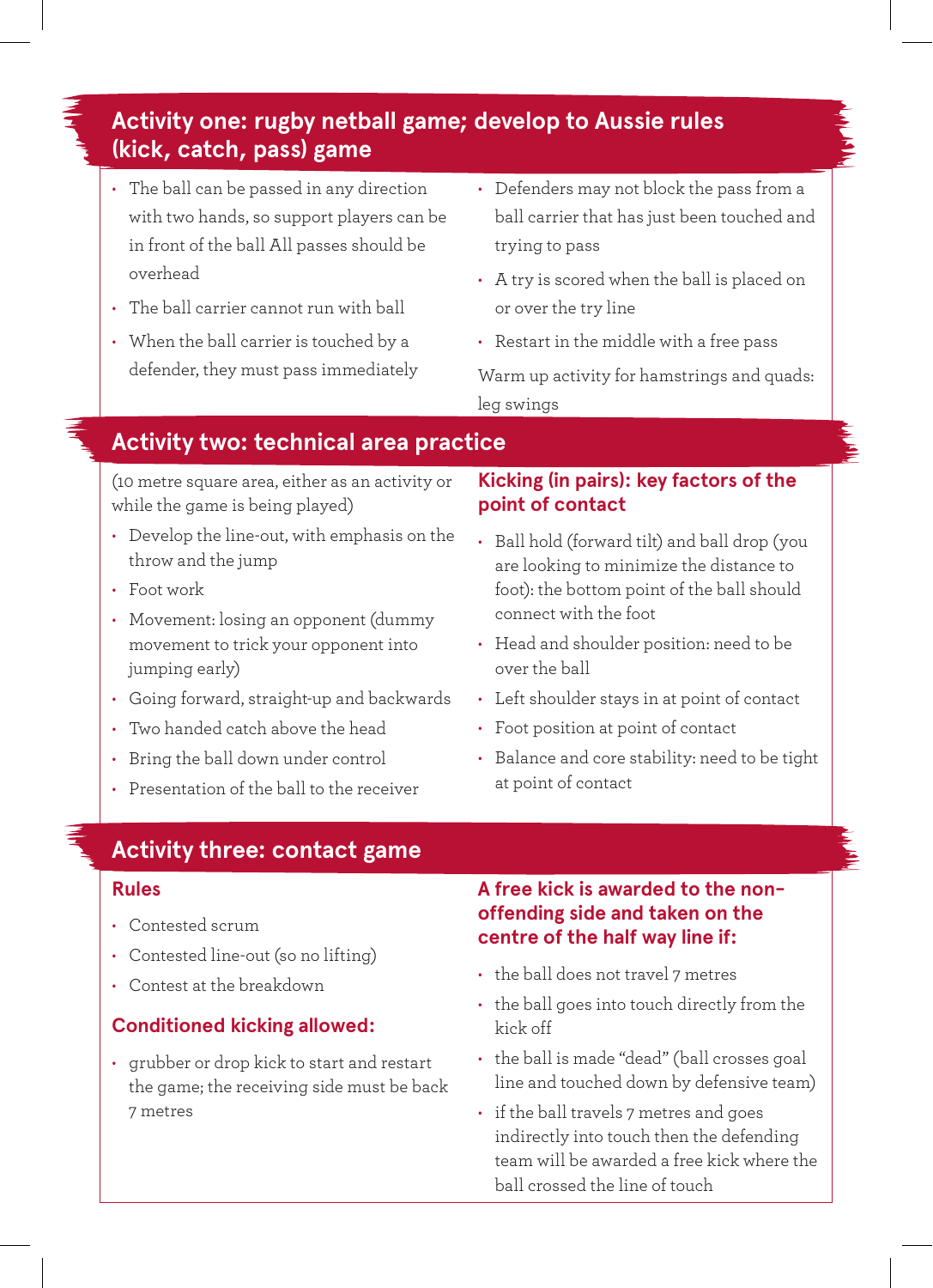### **Activity one: rugby netball game; develop to Aussie rules (kick, catch, pass) game**

- The ball can be passed in any direction with two hands, so support players can be in front of the ball All passes should be overhead
- The ball carrier cannot run with ball
- When the ball carrier is touched by a defender, they must pass immediately
- Defenders may not block the pass from a ball carrier that has just been touched and trying to pass
- A try is scored when the ball is placed on or over the try line
- Restart in the middle with a free pass

Warm up activity for hamstrings and quads: leg swings

#### **Activity two: technical area practice**

(10 metre square area, either as an activity or while the game is being played)

- Develop the line-out, with emphasis on the throw and the jump
- Foot work
- Movement: losing an opponent (dummy movement to trick your opponent into jumping early)
- Going forward, straight-up and backwards
- Two handed catch above the head
- Bring the ball down under control
- Presentation of the ball to the receiver

#### **Kicking (in pairs): key factors of the point of contact**

- Ball hold (forward tilt) and ball drop (you are looking to minimize the distance to foot): the bottom point of the ball should connect with the foot
- Head and shoulder position: need to be over the ball
- Left shoulder stays in at point of contact
- Foot position at point of contact
- Balance and core stability: need to be tight at point of contact

#### **Activity three: contact game**

#### **Rules**

- Contested scrum
- Contested line-out (so no lifting)
- Contest at the breakdown

#### **Conditioned kicking allowed:**

• grubber or drop kick to start and restart the game; the receiving side must be back 7 metres

**A free kick is awarded to the nonoffending side and taken on the centre of the half way line if:**

- the ball does not travel 7 metres
- the ball goes into touch directly from the kick off
- the ball is made "dead" (ball crosses goal line and touched down by defensive team)
- if the ball travels 7 metres and goes indirectly into touch then the defending team will be awarded a free kick where the ball crossed the line of touch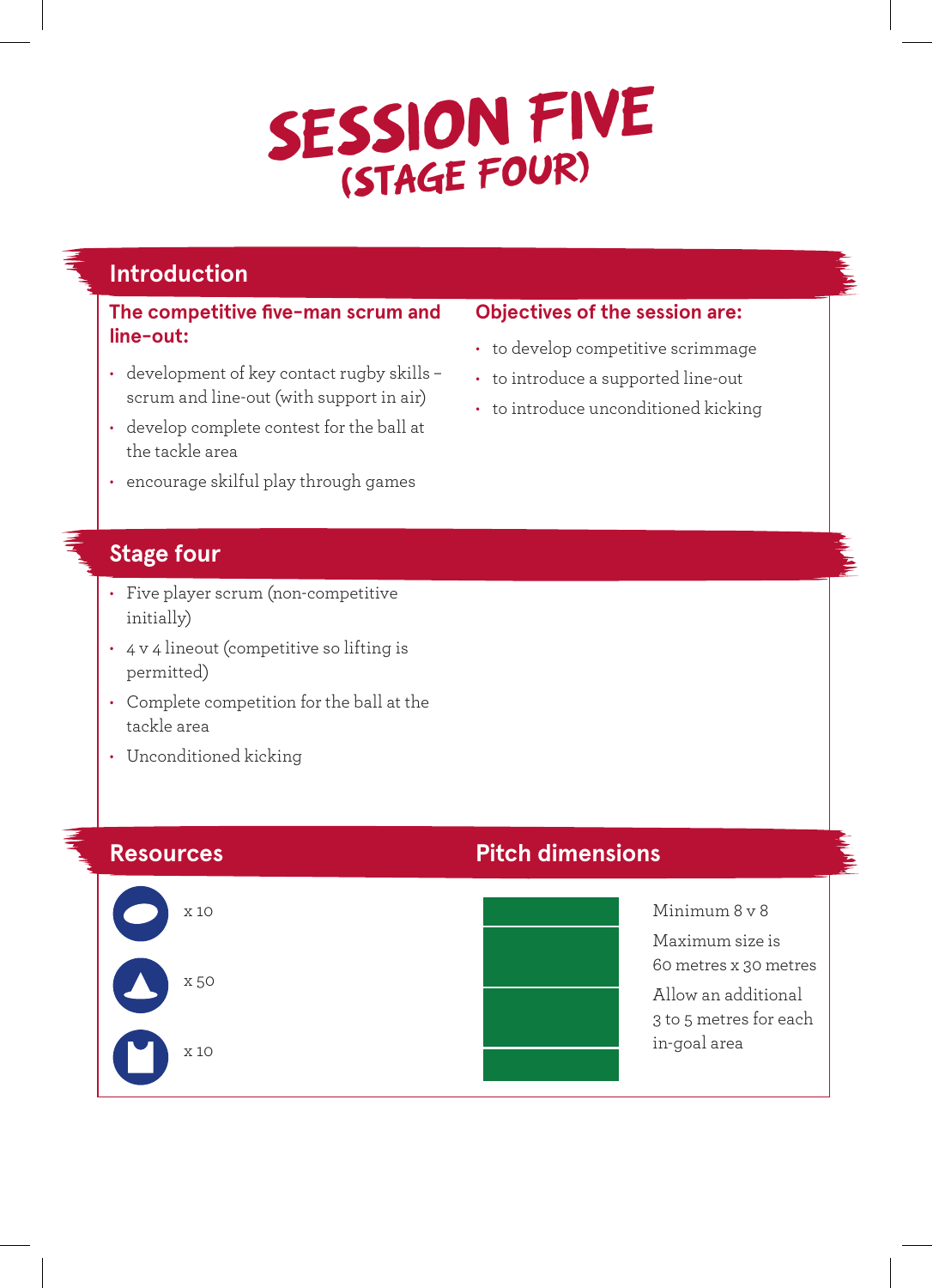## SESSION FIVE

#### **Introduction**

**The competitive five-man scrum and line-out:**

- development of key contact rugby skills scrum and line-out (with support in air)
- develop complete contest for the ball at the tackle area
- encourage skilful play through games

#### **Stage four**

- Five player scrum (non-competitive initially)
- 4 v 4 lineout (competitive so lifting is permitted)
- Complete competition for the ball at the tackle area
- Unconditioned kicking

x 10

x 50

x 10

#### **Resources Pitch dimensions**



Minimum 8 v 8 Maximum size is 60 metres x 30 metres Allow an additional 3 to 5 metres for each in-goal area

### • to introduce unconditioned kicking

**Objectives of the session are:** • to develop competitive scrimmage • to introduce a supported line-out